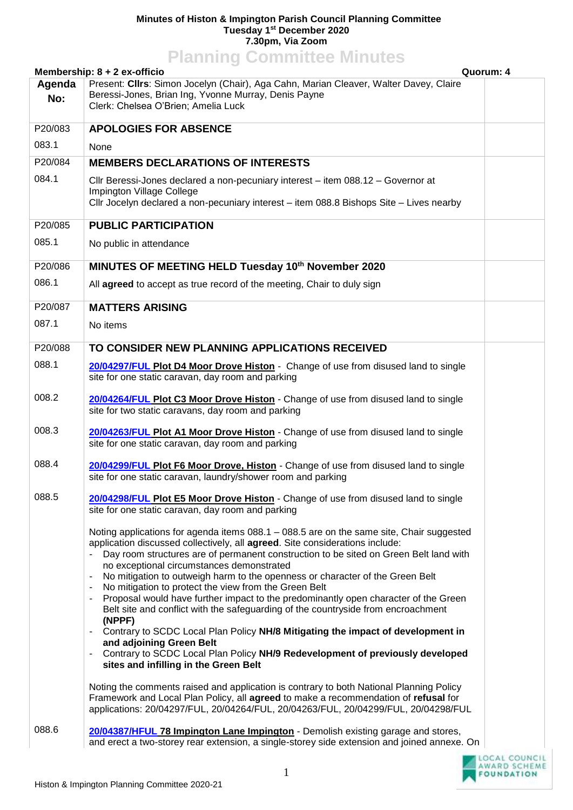## **Minutes of Histon & Impington Parish Council Planning Committee Tuesday 1 st December 2020 7.30pm, Via Zoom Planning Committee Minutes**

|         | <b>FIGHTING CONTINUES MINUTES</b><br>Membership: 8 + 2 ex-officio<br>Quorum: 4                                                                                                                                                                                                                                                                                                                                                                                                                                                                                                                                                       |  |
|---------|--------------------------------------------------------------------------------------------------------------------------------------------------------------------------------------------------------------------------------------------------------------------------------------------------------------------------------------------------------------------------------------------------------------------------------------------------------------------------------------------------------------------------------------------------------------------------------------------------------------------------------------|--|
| Agenda  | Present: Clirs: Simon Jocelyn (Chair), Aga Cahn, Marian Cleaver, Walter Davey, Claire                                                                                                                                                                                                                                                                                                                                                                                                                                                                                                                                                |  |
| No:     | Beressi-Jones, Brian Ing, Yvonne Murray, Denis Payne<br>Clerk: Chelsea O'Brien; Amelia Luck                                                                                                                                                                                                                                                                                                                                                                                                                                                                                                                                          |  |
|         |                                                                                                                                                                                                                                                                                                                                                                                                                                                                                                                                                                                                                                      |  |
| P20/083 | <b>APOLOGIES FOR ABSENCE</b>                                                                                                                                                                                                                                                                                                                                                                                                                                                                                                                                                                                                         |  |
| 083.1   | None                                                                                                                                                                                                                                                                                                                                                                                                                                                                                                                                                                                                                                 |  |
| P20/084 | <b>MEMBERS DECLARATIONS OF INTERESTS</b>                                                                                                                                                                                                                                                                                                                                                                                                                                                                                                                                                                                             |  |
| 084.1   | Cllr Beressi-Jones declared a non-pecuniary interest - item 088.12 - Governor at                                                                                                                                                                                                                                                                                                                                                                                                                                                                                                                                                     |  |
|         | Impington Village College<br>Cllr Jocelyn declared a non-pecuniary interest - item 088.8 Bishops Site - Lives nearby                                                                                                                                                                                                                                                                                                                                                                                                                                                                                                                 |  |
|         |                                                                                                                                                                                                                                                                                                                                                                                                                                                                                                                                                                                                                                      |  |
| P20/085 | <b>PUBLIC PARTICIPATION</b>                                                                                                                                                                                                                                                                                                                                                                                                                                                                                                                                                                                                          |  |
| 085.1   | No public in attendance                                                                                                                                                                                                                                                                                                                                                                                                                                                                                                                                                                                                              |  |
| P20/086 | MINUTES OF MEETING HELD Tuesday 10th November 2020                                                                                                                                                                                                                                                                                                                                                                                                                                                                                                                                                                                   |  |
| 086.1   | All agreed to accept as true record of the meeting, Chair to duly sign                                                                                                                                                                                                                                                                                                                                                                                                                                                                                                                                                               |  |
| P20/087 | <b>MATTERS ARISING</b>                                                                                                                                                                                                                                                                                                                                                                                                                                                                                                                                                                                                               |  |
| 087.1   | No items                                                                                                                                                                                                                                                                                                                                                                                                                                                                                                                                                                                                                             |  |
|         |                                                                                                                                                                                                                                                                                                                                                                                                                                                                                                                                                                                                                                      |  |
| P20/088 | TO CONSIDER NEW PLANNING APPLICATIONS RECEIVED                                                                                                                                                                                                                                                                                                                                                                                                                                                                                                                                                                                       |  |
| 088.1   | 20/04297/FUL Plot D4 Moor Drove Histon - Change of use from disused land to single<br>site for one static caravan, day room and parking                                                                                                                                                                                                                                                                                                                                                                                                                                                                                              |  |
| 008.2   |                                                                                                                                                                                                                                                                                                                                                                                                                                                                                                                                                                                                                                      |  |
|         | 20/04264/FUL Plot C3 Moor Drove Histon - Change of use from disused land to single<br>site for two static caravans, day room and parking                                                                                                                                                                                                                                                                                                                                                                                                                                                                                             |  |
| 008.3   | 20/04263/FUL Plot A1 Moor Drove Histon - Change of use from disused land to single<br>site for one static caravan, day room and parking                                                                                                                                                                                                                                                                                                                                                                                                                                                                                              |  |
| 088.4   | 20/04299/FUL Plot F6 Moor Drove, Histon - Change of use from disused land to single<br>site for one static caravan, laundry/shower room and parking                                                                                                                                                                                                                                                                                                                                                                                                                                                                                  |  |
| 088.5   | 20/04298/FUL Plot E5 Moor Drove Histon - Change of use from disused land to single<br>site for one static caravan, day room and parking                                                                                                                                                                                                                                                                                                                                                                                                                                                                                              |  |
|         | Noting applications for agenda items 088.1 - 088.5 are on the same site, Chair suggested<br>application discussed collectively, all agreed. Site considerations include:<br>Day room structures are of permanent construction to be sited on Green Belt land with<br>no exceptional circumstances demonstrated<br>No mitigation to outweigh harm to the openness or character of the Green Belt<br>No mitigation to protect the view from the Green Belt<br>Proposal would have further impact to the predominantly open character of the Green<br>Belt site and conflict with the safeguarding of the countryside from encroachment |  |
|         | (NPPF)<br>Contrary to SCDC Local Plan Policy NH/8 Mitigating the impact of development in<br>and adjoining Green Belt<br>Contrary to SCDC Local Plan Policy NH/9 Redevelopment of previously developed<br>sites and infilling in the Green Belt                                                                                                                                                                                                                                                                                                                                                                                      |  |
|         | Noting the comments raised and application is contrary to both National Planning Policy<br>Framework and Local Plan Policy, all agreed to make a recommendation of refusal for<br>applications: 20/04297/FUL, 20/04264/FUL, 20/04263/FUL, 20/04299/FUL, 20/04298/FUL                                                                                                                                                                                                                                                                                                                                                                 |  |
| 088.6   | 20/04387/HFUL 78 Impington Lane Impington - Demolish existing garage and stores,<br>and erect a two-storey rear extension, a single-storey side extension and joined annexe. On                                                                                                                                                                                                                                                                                                                                                                                                                                                      |  |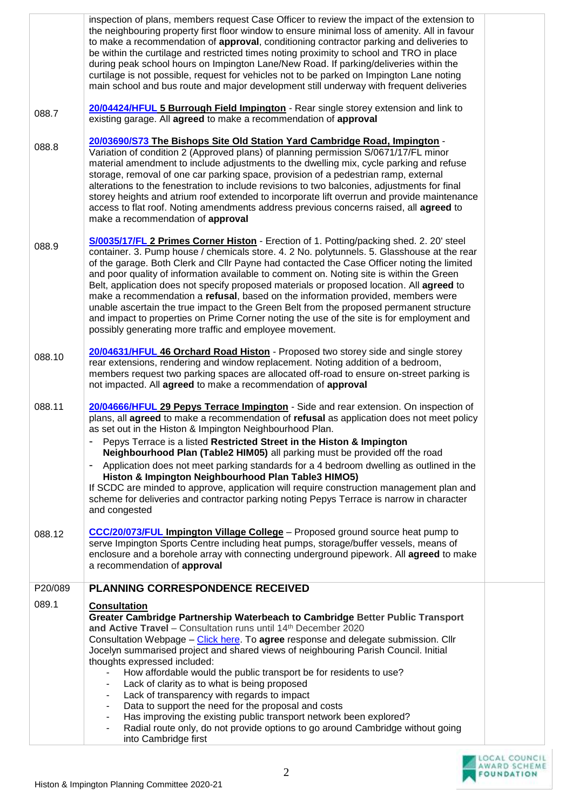|         | inspection of plans, members request Case Officer to review the impact of the extension to<br>the neighbouring property first floor window to ensure minimal loss of amenity. All in favour<br>to make a recommendation of approval, conditioning contractor parking and deliveries to<br>be within the curtilage and restricted times noting proximity to school and TRO in place<br>during peak school hours on Impington Lane/New Road. If parking/deliveries within the<br>curtilage is not possible, request for vehicles not to be parked on Impington Lane noting<br>main school and bus route and major development still underway with frequent deliveries                                                                                                                                                                                              |  |
|---------|------------------------------------------------------------------------------------------------------------------------------------------------------------------------------------------------------------------------------------------------------------------------------------------------------------------------------------------------------------------------------------------------------------------------------------------------------------------------------------------------------------------------------------------------------------------------------------------------------------------------------------------------------------------------------------------------------------------------------------------------------------------------------------------------------------------------------------------------------------------|--|
| 088.7   | 20/04424/HFUL 5 Burrough Field Impington - Rear single storey extension and link to<br>existing garage. All agreed to make a recommendation of approval                                                                                                                                                                                                                                                                                                                                                                                                                                                                                                                                                                                                                                                                                                          |  |
| 088.8   | 20/03690/S73 The Bishops Site Old Station Yard Cambridge Road, Impington -<br>Variation of condition 2 (Approved plans) of planning permission S/0671/17/FL minor<br>material amendment to include adjustments to the dwelling mix, cycle parking and refuse<br>storage, removal of one car parking space, provision of a pedestrian ramp, external<br>alterations to the fenestration to include revisions to two balconies, adjustments for final<br>storey heights and atrium roof extended to incorporate lift overrun and provide maintenance<br>access to flat roof. Noting amendments address previous concerns raised, all agreed to<br>make a recommendation of approval                                                                                                                                                                                |  |
| 088.9   | S/0035/17/FL 2 Primes Corner Histon - Erection of 1. Potting/packing shed. 2. 20' steel<br>container. 3. Pump house / chemicals store. 4. 2 No. polytunnels. 5. Glasshouse at the rear<br>of the garage. Both Clerk and Cllr Payne had contacted the Case Officer noting the limited<br>and poor quality of information available to comment on. Noting site is within the Green<br>Belt, application does not specify proposed materials or proposed location. All agreed to<br>make a recommendation a refusal, based on the information provided, members were<br>unable ascertain the true impact to the Green Belt from the proposed permanent structure<br>and impact to properties on Prime Corner noting the use of the site is for employment and<br>possibly generating more traffic and employee movement.                                            |  |
| 088.10  | 20/04631/HFUL 46 Orchard Road Histon - Proposed two storey side and single storey<br>rear extensions, rendering and window replacement. Noting addition of a bedroom,<br>members request two parking spaces are allocated off-road to ensure on-street parking is<br>not impacted. All agreed to make a recommendation of approval                                                                                                                                                                                                                                                                                                                                                                                                                                                                                                                               |  |
| 088.11  | 20/04666/HFUL 29 Pepys Terrace Impington - Side and rear extension. On inspection of<br>plans, all agreed to make a recommendation of refusal as application does not meet policy<br>as set out in the Histon & Impington Neighbourhood Plan.<br>Pepys Terrace is a listed Restricted Street in the Histon & Impington<br>Neighbourhood Plan (Table2 HIM05) all parking must be provided off the road<br>Application does not meet parking standards for a 4 bedroom dwelling as outlined in the<br>Histon & Impington Neighbourhood Plan Table3 HIMO5)<br>If SCDC are minded to approve, application will require construction management plan and<br>scheme for deliveries and contractor parking noting Pepys Terrace is narrow in character<br>and congested                                                                                                 |  |
| 088.12  | <b>CCC/20/073/FUL Impington Village College</b> - Proposed ground source heat pump to<br>serve Impington Sports Centre including heat pumps, storage/buffer vessels, means of<br>enclosure and a borehole array with connecting underground pipework. All agreed to make<br>a recommendation of approval                                                                                                                                                                                                                                                                                                                                                                                                                                                                                                                                                         |  |
| P20/089 | PLANNING CORRESPONDENCE RECEIVED                                                                                                                                                                                                                                                                                                                                                                                                                                                                                                                                                                                                                                                                                                                                                                                                                                 |  |
| 089.1   | <b>Consultation</b><br>Greater Cambridge Partnership Waterbeach to Cambridge Better Public Transport<br>and Active Travel - Consultation runs until 14th December 2020<br>Consultation Webpage - Click here. To agree response and delegate submission. Cllr<br>Jocelyn summarised project and shared views of neighbouring Parish Council. Initial<br>thoughts expressed included:<br>How affordable would the public transport be for residents to use?<br>Lack of clarity as to what is being proposed<br>Lack of transparency with regards to impact<br>$\overline{\phantom{0}}$<br>Data to support the need for the proposal and costs<br>$\overline{\phantom{0}}$<br>Has improving the existing public transport network been explored?<br>-<br>Radial route only, do not provide options to go around Cambridge without going<br>$\overline{\phantom{0}}$ |  |
|         | into Cambridge first                                                                                                                                                                                                                                                                                                                                                                                                                                                                                                                                                                                                                                                                                                                                                                                                                                             |  |